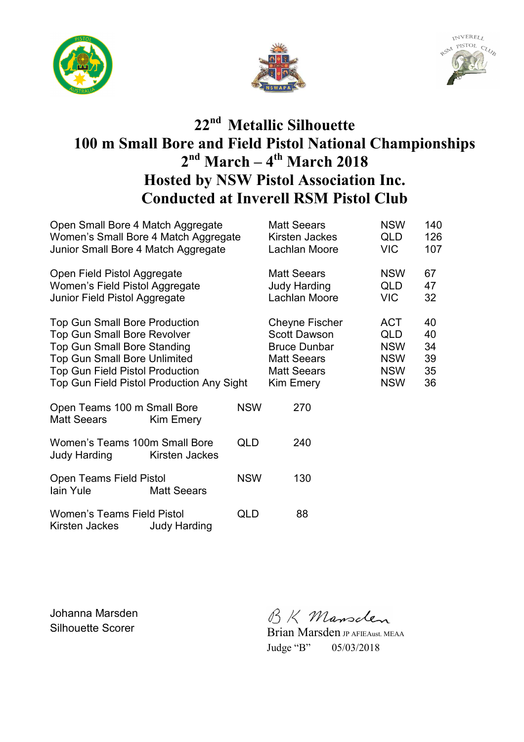





## **22nd Metallic Silhouette 100 m Small Bore and Field Pistol National Championships 2 nd March – 4th March 2018 Hosted by NSW Pistol Association Inc. Conducted at Inverell RSM Pistol Club**

| Open Small Bore 4 Match Aggregate<br>Women's Small Bore 4 Match Aggregate<br>Junior Small Bore 4 Match Aggregate                                                                                                                               |                     |            | <b>Matt Seears</b><br>Kirsten Jackes<br>Lachlan Moore                                                                        | <b>NSW</b><br><b>QLD</b><br>VIC                                                  | 140<br>126<br>107                |
|------------------------------------------------------------------------------------------------------------------------------------------------------------------------------------------------------------------------------------------------|---------------------|------------|------------------------------------------------------------------------------------------------------------------------------|----------------------------------------------------------------------------------|----------------------------------|
| Open Field Pistol Aggregate<br>Women's Field Pistol Aggregate<br>Junior Field Pistol Aggregate                                                                                                                                                 |                     |            | <b>Matt Seears</b><br><b>Judy Harding</b><br>Lachlan Moore                                                                   | <b>NSW</b><br>QLD<br>VIC.                                                        | 67<br>47<br>32                   |
| <b>Top Gun Small Bore Production</b><br><b>Top Gun Small Bore Revolver</b><br><b>Top Gun Small Bore Standing</b><br><b>Top Gun Small Bore Unlimited</b><br><b>Top Gun Field Pistol Production</b><br>Top Gun Field Pistol Production Any Sight |                     |            | <b>Cheyne Fischer</b><br><b>Scott Dawson</b><br><b>Bruce Dunbar</b><br><b>Matt Seears</b><br><b>Matt Seears</b><br>Kim Emery | <b>ACT</b><br><b>QLD</b><br><b>NSW</b><br><b>NSW</b><br><b>NSW</b><br><b>NSW</b> | 40<br>40<br>34<br>39<br>35<br>36 |
| Open Teams 100 m Small Bore<br><b>Matt Seears</b>                                                                                                                                                                                              | Kim Emery           | <b>NSW</b> | 270                                                                                                                          |                                                                                  |                                  |
| Women's Teams 100m Small Bore<br>Judy Harding                                                                                                                                                                                                  | Kirsten Jackes      | QLD        | 240                                                                                                                          |                                                                                  |                                  |
| <b>Open Teams Field Pistol</b><br>lain Yule                                                                                                                                                                                                    | <b>Matt Seears</b>  | <b>NSW</b> | 130                                                                                                                          |                                                                                  |                                  |
| <b>Women's Teams Field Pistol</b><br>Kirsten Jackes                                                                                                                                                                                            | <b>Judy Harding</b> | QLD        | 88                                                                                                                           |                                                                                  |                                  |

Johanna Marsden

Johanna Marsden<br>Silhouette Scorer Brian Marsden JP AFIEAust. MEAA

Judge "B" 05/03/2018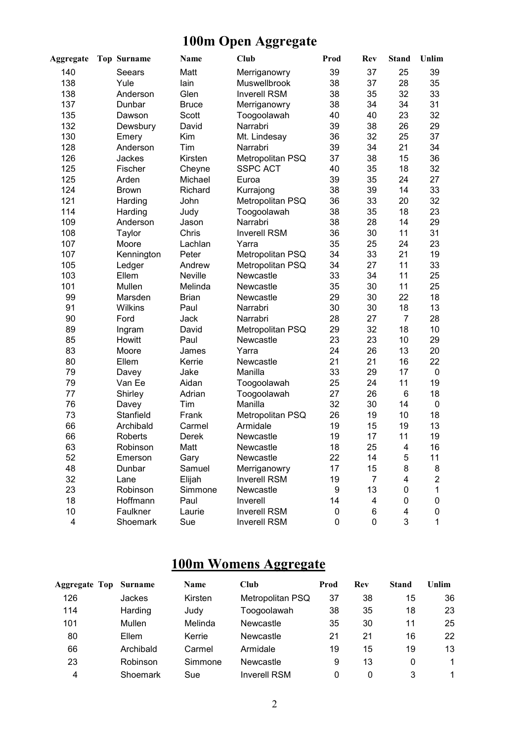# **100m Open Aggregate**

| <b>Aggregate</b> | <b>Top Surname</b> | <b>Name</b>  | Club                | Prod | <b>Rev</b> | <b>Stand</b>   | Unlim          |
|------------------|--------------------|--------------|---------------------|------|------------|----------------|----------------|
| 140              | Seears             | Matt         | Merriganowry        | 39   | 37         | 25             | 39             |
| 138              | Yule               | lain         | Muswellbrook        | 38   | 37         | 28             | 35             |
| 138              | Anderson           | Glen         | <b>Inverell RSM</b> | 38   | 35         | 32             | 33             |
| 137              | Dunbar             | <b>Bruce</b> | Merriganowry        | 38   | 34         | 34             | 31             |
| 135              | Dawson             | Scott        | Toogoolawah         | 40   | 40         | 23             | 32             |
| 132              | Dewsbury           | David        | Narrabri            | 39   | 38         | 26             | 29             |
| 130              | Emery              | Kim          | Mt. Lindesay        | 36   | 32         | 25             | 37             |
| 128              | Anderson           | Tim          | Narrabri            | 39   | 34         | 21             | 34             |
| 126              | Jackes             | Kirsten      | Metropolitan PSQ    | 37   | 38         | 15             | 36             |
| 125              | Fischer            | Cheyne       | <b>SSPC ACT</b>     | 40   | 35         | 18             | 32             |
| 125              | Arden              | Michael      | Euroa               | 39   | 35         | 24             | 27             |
| 124              | <b>Brown</b>       | Richard      | Kurrajong           | 38   | 39         | 14             | 33             |
| 121              | Harding            | John         | Metropolitan PSQ    | 36   | 33         | 20             | 32             |
| 114              | Harding            | Judy         | Toogoolawah         | 38   | 35         | 18             | 23             |
| 109              | Anderson           | Jason        | Narrabri            | 38   | 28         | 14             | 29             |
| 108              | Taylor             | Chris        | <b>Inverell RSM</b> | 36   | 30         | 11             | 31             |
| 107              | Moore              | Lachlan      | Yarra               | 35   | 25         | 24             | 23             |
| 107              | Kennington         | Peter        | Metropolitan PSQ    | 34   | 33         | 21             | 19             |
| 105              | Ledger             | Andrew       | Metropolitan PSQ    | 34   | 27         | 11             | 33             |
| 103              | Ellem              | Neville      | Newcastle           | 33   | 34         | 11             | 25             |
| 101              | Mullen             | Melinda      | Newcastle           | 35   | 30         | 11             | 25             |
| 99               | Marsden            | <b>Brian</b> | Newcastle           | 29   | 30         | 22             | 18             |
| 91               | Wilkins            | Paul         | Narrabri            | 30   | 30         | 18             | 13             |
| 90               | Ford               | Jack         | Narrabri            | 28   | 27         | $\overline{7}$ | 28             |
| 89               | Ingram             | David        | Metropolitan PSQ    | 29   | 32         | 18             | 10             |
| 85               | Howitt             | Paul         | Newcastle           | 23   | 23         | 10             | 29             |
| 83               | Moore              | James        | Yarra               | 24   | 26         | 13             | 20             |
| 80               | Ellem              | Kerrie       | Newcastle           | 21   | 21         | 16             | 22             |
| 79               | Davey              | Jake         | Manilla             | 33   | 29         | 17             | 0              |
| 79               | Van Ee             | Aidan        | Toogoolawah         | 25   | 24         | 11             | 19             |
| 77               | Shirley            | Adrian       | Toogoolawah         | 27   | 26         | 6              | 18             |
| 76               | Davey              | Tim          | Manilla             | 32   | 30         | 14             | 0              |
| 73               | Stanfield          | Frank        | Metropolitan PSQ    | 26   | 19         | 10             | 18             |
| 66               | Archibald          | Carmel       | Armidale            | 19   | 15         | 19             | 13             |
| 66               | <b>Roberts</b>     | Derek        | Newcastle           | 19   | 17         | 11             | 19             |
| 63               | Robinson           | Matt         | Newcastle           | 18   | 25         | 4              | 16             |
| 52               | Emerson            | Gary         | Newcastle           | 22   | 14         | 5              | 11             |
| 48               | Dunbar             | Samuel       | Merriganowry        | 17   | 15         | 8              | 8              |
| 32               | Lane               | Elijah       | <b>Inverell RSM</b> | 19   | 7          | 4              | $\overline{2}$ |
| 23               | Robinson           | Simmone      | Newcastle           | 9    | 13         | 0              | 1              |
| 18               | Hoffmann           | Paul         | Inverell            | 14   | 4          | 0              | 0              |
| 10               | Faulkner           | Laurie       | <b>Inverell RSM</b> | 0    | 6          | 4              | 0              |
| 4                | Shoemark           | Sue          | Inverell RSM        | 0    | 0          | 3              | 1              |

## **100m Womens Aggregate**

| <b>Aggregate Top Surname</b> |           | Name    | <b>Club</b>         | Prod | Rev | <b>Stand</b> | Unlim |
|------------------------------|-----------|---------|---------------------|------|-----|--------------|-------|
| 126                          | Jackes    | Kirsten | Metropolitan PSQ    | 37   | 38  | 15           | 36    |
| 114                          | Harding   | Judy    | Toogoolawah         | 38   | 35  | 18           | 23    |
| 101                          | Mullen    | Melinda | Newcastle           | 35   | 30  | 11           | 25    |
| 80                           | Ellem     | Kerrie  | Newcastle           | 21   | 21  | 16           | 22    |
| 66                           | Archibald | Carmel  | Armidale            | 19   | 15  | 19           | 13    |
| 23                           | Robinson  | Simmone | Newcastle           | 9    | 13  | 0            |       |
| 4                            | Shoemark  | Sue     | <b>Inverell RSM</b> | 0    | 0   | 3            |       |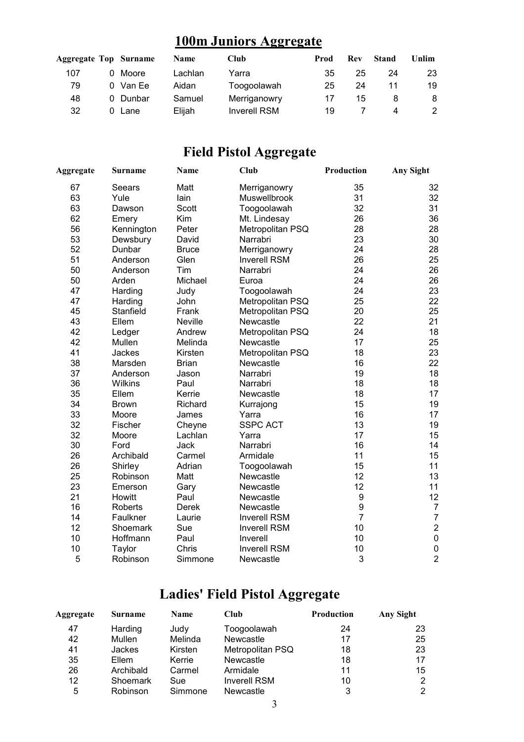## **100m Juniors Aggregate**

| Aggregate Top Surname |    |          | <b>Name</b> | Club                | Prod | Rev | Stand | Unlim |
|-----------------------|----|----------|-------------|---------------------|------|-----|-------|-------|
| 107                   | 0. | Moore    | Lachlan     | Yarra               | 35   | 25  | 24    | 23    |
| 79                    |    | 0 Van Ee | Aidan       | Toogoolawah         | 25   | 24  |       | 19    |
| 48                    |    | 0 Dunbar | Samuel      | Merriganowry        | 17   | 15  |       | 8     |
| 32                    |    | Lane     | Eliiah      | <b>Inverell RSM</b> | 19   |     | 4     |       |

## **Field Pistol Aggregate**

| Aggregate | <b>Surname</b> | <b>Name</b>  | <b>Club</b>         | Production       | <b>Any Sight</b> |
|-----------|----------------|--------------|---------------------|------------------|------------------|
| 67        | Seears         | Matt         | Merriganowry        | 35               | 32               |
| 63        | Yule           | lain         | Muswellbrook        | 31               | 32               |
| 63        | Dawson         | Scott        | Toogoolawah         | 32               | 31               |
| 62        | Emery          | Kim          | Mt. Lindesay        | 26               | 36               |
| 56        | Kennington     | Peter        | Metropolitan PSQ    | 28               | 28               |
| 53        | Dewsbury       | David        | Narrabri            | 23               | 30               |
| 52        | Dunbar         | <b>Bruce</b> | Merriganowry        | 24               | 28               |
| 51        | Anderson       | Glen         | <b>Inverell RSM</b> | 26               | 25               |
| 50        | Anderson       | Tim          | Narrabri            | 24               | 26               |
| 50        | Arden          | Michael      | Euroa               | 24               | 26               |
| 47        | Harding        | Judy         | Toogoolawah         | 24               | 23               |
| 47        | Harding        | John         | Metropolitan PSQ    | 25               | 22               |
| 45        | Stanfield      | Frank        | Metropolitan PSQ    | 20               | 25               |
| 43        | Ellem          | Neville      | Newcastle           | 22               | 21               |
| 42        | Ledger         | Andrew       | Metropolitan PSQ    | 24               | 18               |
| 42        | Mullen         | Melinda      | Newcastle           | 17               | 25               |
| 41        | Jackes         | Kirsten      | Metropolitan PSQ    | 18               | 23               |
| 38        | Marsden        | <b>Brian</b> | Newcastle           | 16               | 22               |
| 37        | Anderson       | Jason        | Narrabri            | 19               | 18               |
| 36        | Wilkins        | Paul         | Narrabri            | 18               | 18               |
| 35        | Ellem          | Kerrie       | Newcastle           | 18               | 17               |
| 34        | <b>Brown</b>   | Richard      | Kurrajong           | 15               | 19               |
| 33        | Moore          | James        | Yarra               | 16               | 17               |
| 32        | Fischer        | Cheyne       | <b>SSPC ACT</b>     | 13               | 19               |
| 32        | Moore          | Lachlan      | Yarra               | 17               | 15               |
| 30        | Ford           | <b>Jack</b>  | Narrabri            | 16               | 14               |
| 26        | Archibald      | Carmel       | Armidale            | 11               | 15               |
| 26        | Shirley        | Adrian       | Toogoolawah         | 15               | 11               |
| 25        | Robinson       | Matt         | Newcastle           | 12               | 13               |
| 23        | Emerson        | Gary         | Newcastle           | 12               | 11               |
| 21        | <b>Howitt</b>  | Paul         | Newcastle           | $\boldsymbol{9}$ | 12               |
| 16        | <b>Roberts</b> | <b>Derek</b> | Newcastle           | 9                | $\overline{7}$   |
| 14        | Faulkner       | Laurie       | <b>Inverell RSM</b> | $\overline{7}$   | $\overline{7}$   |
| 12        | Shoemark       | Sue          | <b>Inverell RSM</b> | 10               | $\overline{c}$   |
| 10        | Hoffmann       | Paul         | Inverell            | 10               | $\overline{0}$   |
| 10        | Taylor         | Chris        | <b>Inverell RSM</b> | 10               | $\mathbf 0$      |
| 5         | Robinson       | Simmone      | Newcastle           | 3                | $\overline{2}$   |

## **Ladies' Field Pistol Aggregate**

| Aggregate | <b>Surname</b> | Name    | Club                | <b>Production</b> | Any Sight |
|-----------|----------------|---------|---------------------|-------------------|-----------|
| 47        | Harding        | Judy    | Toogoolawah         | 24                | 23        |
| 42        | Mullen         | Melinda | Newcastle           | 17                | 25        |
| 41        | Jackes         | Kirsten | Metropolitan PSQ    | 18                | 23        |
| 35        | Ellem          | Kerrie  | <b>Newcastle</b>    | 18                | 17        |
| 26        | Archibald      | Carmel  | Armidale            | 11                | 15        |
| 12        | Shoemark       | Sue     | <b>Inverell RSM</b> | 10                | 2         |
| 5         | Robinson       | Simmone | Newcastle           | 3                 | 2         |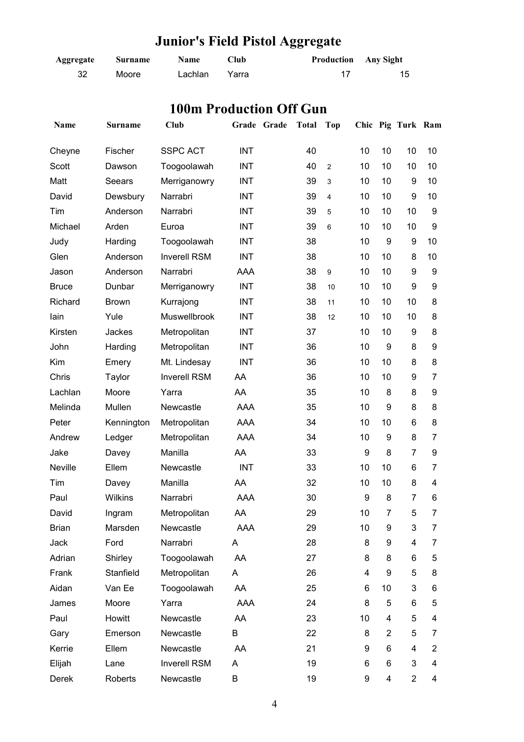| Aggregate    | <b>Surname</b> | Name                           | Club       |             |              | Production<br><b>Any Sight</b> |    |                |                   |                |
|--------------|----------------|--------------------------------|------------|-------------|--------------|--------------------------------|----|----------------|-------------------|----------------|
| 32           | Moore          | Lachlan                        | Yarra      |             |              | 17                             |    |                | 15                |                |
|              |                |                                |            |             |              |                                |    |                |                   |                |
|              |                | <b>100m Production Off Gun</b> |            |             |              |                                |    |                |                   |                |
| Name         | <b>Surname</b> | <b>Club</b>                    |            | Grade Grade | <b>Total</b> | <b>Top</b>                     |    |                | Chic Pig Turk Ram |                |
|              |                |                                |            |             |              |                                |    |                |                   |                |
| Cheyne       | Fischer        | <b>SSPC ACT</b>                | <b>INT</b> |             | 40           |                                | 10 | 10             | 10                | 10             |
| Scott        | Dawson         | Toogoolawah                    | <b>INT</b> |             | 40           | $\overline{c}$                 | 10 | 10             | 10                | 10             |
| Matt         | Seears         | Merriganowry                   | <b>INT</b> |             | 39           | 3                              | 10 | 10             | 9                 | 10             |
| David        | Dewsbury       | Narrabri                       | <b>INT</b> |             | 39           | 4                              | 10 | 10             | 9                 | 10             |
| Tim          | Anderson       | Narrabri                       | <b>INT</b> |             | 39           | 5                              | 10 | 10             | 10                | 9              |
| Michael      | Arden          | Euroa                          | <b>INT</b> |             | 39           | 6                              | 10 | 10             | 10                | 9              |
| Judy         | Harding        | Toogoolawah                    | <b>INT</b> |             | 38           |                                | 10 | 9              | 9                 | 10             |
| Glen         | Anderson       | <b>Inverell RSM</b>            | <b>INT</b> |             | 38           |                                | 10 | 10             | 8                 | 10             |
| Jason        | Anderson       | Narrabri                       | <b>AAA</b> |             | 38           | 9                              | 10 | 10             | 9                 | 9              |
| <b>Bruce</b> | Dunbar         | Merriganowry                   | <b>INT</b> |             | 38           | 10                             | 10 | 10             | 9                 | 9              |
| Richard      | <b>Brown</b>   | Kurrajong                      | <b>INT</b> |             | 38           | 11                             | 10 | 10             | 10                | 8              |
| lain         | Yule           | Muswellbrook                   | <b>INT</b> |             | 38           | 12                             | 10 | 10             | 10                | 8              |
| Kirsten      | Jackes         | Metropolitan                   | <b>INT</b> |             | 37           |                                | 10 | 10             | 9                 | 8              |
| John         | Harding        | Metropolitan                   | <b>INT</b> |             | 36           |                                | 10 | 9              | 8                 | 9              |
| Kim          | Emery          | Mt. Lindesay                   | <b>INT</b> |             | 36           |                                | 10 | 10             | 8                 | 8              |
| Chris        | Taylor         | <b>Inverell RSM</b>            | AA         |             | 36           |                                | 10 | 10             | 9                 | 7              |
| Lachlan      | Moore          | Yarra                          | AA         |             | 35           |                                | 10 | 8              | 8                 | 9              |
| Melinda      | Mullen         | Newcastle                      | <b>AAA</b> |             | 35           |                                | 10 | 9              | 8                 | 8              |
| Peter        | Kennington     | Metropolitan                   | AAA        |             | 34           |                                | 10 | 10             | 6                 | 8              |
| Andrew       | Ledger         | Metropolitan                   | <b>AAA</b> |             | 34           |                                | 10 | 9              | 8                 | 7              |
| Jake         | Davey          | Manilla                        | AA         |             | 33           |                                | 9  | 8              | $\overline{7}$    | 9              |
| Neville      | Ellem          | Newcastle                      | <b>INT</b> |             | 33           |                                | 10 | 10             | 6                 | 7              |
| Tim          | Davey          | Manilla                        | AA         |             | 32           |                                | 10 | 10             | 8                 | 4              |
| Paul         | Wilkins        | Narrabri                       | AAA        |             | 30           |                                | 9  | 8              | 7                 | 6              |
| David        |                |                                | AA         |             | 29           |                                | 10 | 7              | 5                 | 7              |
|              | Ingram         | Metropolitan<br>Newcastle      |            |             |              |                                |    |                |                   |                |
| <b>Brian</b> | Marsden        |                                | AAA        |             | 29           |                                | 10 | 9              | 3                 | 7              |
| Jack         | Ford           | Narrabri                       | A          |             | 28           |                                | 8  | 9              | 4                 | 7              |
| Adrian       | Shirley        | Toogoolawah                    | AA         |             | 27           |                                | 8  | 8              | 6                 | 5              |
| Frank        | Stanfield      | Metropolitan                   | A          |             | 26           |                                | 4  | 9              | 5                 | 8              |
| Aidan        | Van Ee         | Toogoolawah                    | AA         |             | 25           |                                | 6  | 10             | 3                 | 6              |
| James        | Moore          | Yarra                          | AAA        |             | 24           |                                | 8  | 5              | 6                 | 5              |
| Paul         | Howitt         | Newcastle                      | AA         |             | 23           |                                | 10 | 4              | 5                 | 4              |
| Gary         | Emerson        | Newcastle                      | B          |             | 22           |                                | 8  | $\overline{2}$ | 5                 | 7              |
| Kerrie       | Ellem          | Newcastle                      | AA         |             | 21           |                                | 9  | 6              | 4                 | $\overline{c}$ |
| Elijah       | Lane           | Inverell RSM                   | A          |             | 19           |                                | 6  | 6              | 3                 | 4              |
| Derek        | Roberts        | Newcastle                      | Β          |             | 19           |                                | 9  | 4              | $\overline{2}$    | 4              |

# **Junior's Field Pistol Aggregate**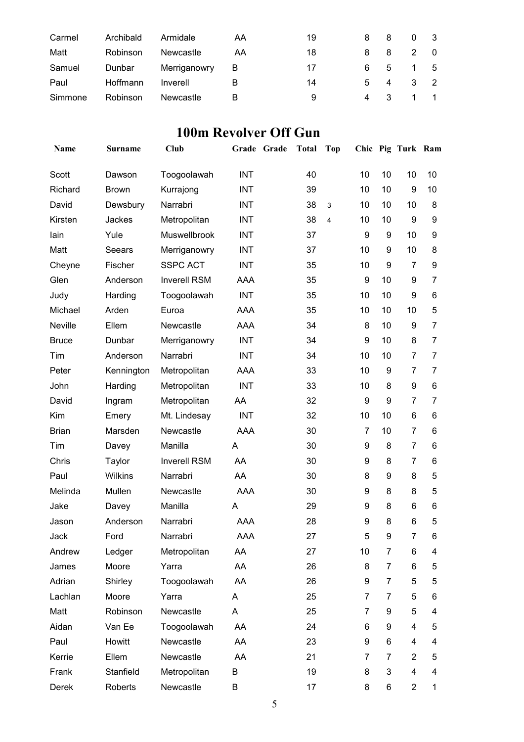| Carmel  | Archibald | Armidale     | AA | 19 | 8.  | 8              | 0              | - 3            |
|---------|-----------|--------------|----|----|-----|----------------|----------------|----------------|
| Matt    | Robinson  | Newcastle    | AA | 18 | 8.  | 8              | 2              | - 0            |
| Samuel  | Dunbar    | Merriganowry | B  | 17 | 6.  | 5              | $\overline{1}$ | - 5            |
| Paul    | Hoffmann  | Inverell     | В  | 14 | 5   | $\overline{4}$ | -3-            | $\overline{2}$ |
| Simmone | Robinson  | Newcastle    | В  | 9  | 4 3 |                | $\mathbf{1}$   |                |

#### **100m Revolver Off Gun**

| Name         | Surname      | Club                |            | Grade Grade | <b>Total</b> | Top            |    |                | Chic Pig Turk Ram |                |
|--------------|--------------|---------------------|------------|-------------|--------------|----------------|----|----------------|-------------------|----------------|
| Scott        | Dawson       | Toogoolawah         | <b>INT</b> |             | 40           |                | 10 | 10             | 10                | 10             |
| Richard      | <b>Brown</b> | Kurrajong           | <b>INT</b> |             | 39           |                | 10 | 10             | 9                 | 10             |
| David        | Dewsbury     | Narrabri            | <b>INT</b> |             | 38           | 3              | 10 | 10             | 10                | 8              |
| Kirsten      | Jackes       | Metropolitan        | <b>INT</b> |             | 38           | $\overline{4}$ | 10 | 10             | 9                 | 9              |
| lain         | Yule         | Muswellbrook        | <b>INT</b> |             | 37           |                | 9  | 9              | 10                | 9              |
| Matt         | Seears       | Merriganowry        | <b>INT</b> |             | 37           |                | 10 | 9              | 10                | 8              |
| Cheyne       | Fischer      | <b>SSPC ACT</b>     | <b>INT</b> |             | 35           |                | 10 | 9              | $\overline{7}$    | 9              |
| Glen         | Anderson     | <b>Inverell RSM</b> | <b>AAA</b> |             | 35           |                | 9  | 10             | 9                 | 7              |
| Judy         | Harding      | Toogoolawah         | <b>INT</b> |             | 35           |                | 10 | 10             | 9                 | 6              |
| Michael      | Arden        | Euroa               | AAA        |             | 35           |                | 10 | 10             | 10                | 5              |
| Neville      | Ellem        | Newcastle           | AAA        |             | 34           |                | 8  | 10             | 9                 | 7              |
| <b>Bruce</b> | Dunbar       | Merriganowry        | <b>INT</b> |             | 34           |                | 9  | 10             | 8                 | 7              |
| Tim          | Anderson     | Narrabri            | <b>INT</b> |             | 34           |                | 10 | 10             | $\overline{7}$    | $\overline{7}$ |
| Peter        | Kennington   | Metropolitan        | AAA        |             | 33           |                | 10 | 9              | $\overline{7}$    | $\overline{7}$ |
| John         | Harding      | Metropolitan        | <b>INT</b> |             | 33           |                | 10 | 8              | 9                 | 6              |
| David        | Ingram       | Metropolitan        | AA         |             | 32           |                | 9  | 9              | $\overline{7}$    | 7              |
| Kim          | Emery        | Mt. Lindesay        | <b>INT</b> |             | 32           |                | 10 | 10             | 6                 | 6              |
| <b>Brian</b> | Marsden      | Newcastle           | <b>AAA</b> |             | 30           |                | 7  | 10             | $\overline{7}$    | 6              |
| Tim          | Davey        | Manilla             | A          |             | 30           |                | 9  | 8              | $\overline{7}$    | 6              |
| Chris        | Taylor       | <b>Inverell RSM</b> | AA         |             | 30           |                | 9  | 8              | $\overline{7}$    | 6              |
| Paul         | Wilkins      | Narrabri            | AA         |             | 30           |                | 8  | 9              | 8                 | 5              |
| Melinda      | Mullen       | Newcastle           | AAA        |             | 30           |                | 9  | 8              | 8                 | 5              |
| Jake         | Davey        | Manilla             | A          |             | 29           |                | 9  | 8              | 6                 | 6              |
| Jason        | Anderson     | Narrabri            | <b>AAA</b> |             | 28           |                | 9  | 8              | 6                 | 5              |
| Jack         | Ford         | Narrabri            | AAA        |             | 27           |                | 5  | 9              | 7                 | 6              |
| Andrew       | Ledger       | Metropolitan        | AA         |             | 27           |                | 10 | 7              | 6                 | 4              |
| James        | Moore        | Yarra               | AA         |             | 26           |                | 8  | 7              | 6                 | 5              |
| Adrian       | Shirley      | Toogoolawah         | AA         |             | 26           |                | 9  | 7              | 5                 | 5              |
| Lachlan      | Moore        | Yarra               | A          |             | 25           |                | 7  | $\overline{7}$ | 5                 | 6              |
| Matt         | Robinson     | Newcastle           | A          |             | 25           |                | 7  | 9              | 5                 | 4              |
| Aidan        | Van Ee       | Toogoolawah         | AA         |             | 24           |                | 6  | 9              | 4                 | 5              |
| Paul         | Howitt       | Newcastle           | AA         |             | 23           |                | 9  | 6              | 4                 | 4              |
| Kerrie       | Ellem        | Newcastle           | AA         |             | 21           |                | 7  | $\overline{7}$ | $\overline{2}$    | 5              |
| Frank        | Stanfield    | Metropolitan        | B          |             | 19           |                | 8  | 3              | 4                 | 4              |
| Derek        | Roberts      | Newcastle           | В          |             | 17           |                | 8  | 6              | $\overline{2}$    | 1              |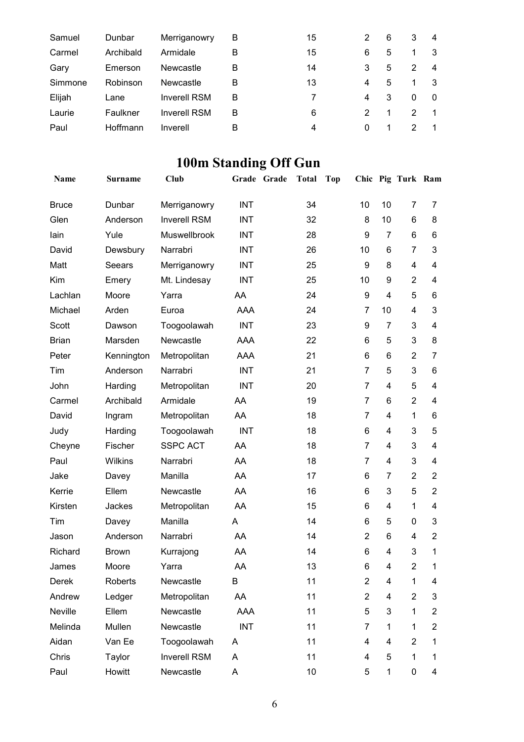| Samuel  | Dunbar    | Merriganowry        | в | 15 | 2 | 6 | 3 | 4              |
|---------|-----------|---------------------|---|----|---|---|---|----------------|
| Carmel  | Archibald | Armidale            | в | 15 | 6 | 5 |   | 3              |
| Gary    | Emerson   | Newcastle           | в | 14 | 3 | 5 | 2 | 4              |
| Simmone | Robinson  | Newcastle           | в | 13 | 4 | 5 |   | -3             |
| Elijah  | Lane      | <b>Inverell RSM</b> | В |    | 4 | 3 | 0 | $\Omega$       |
| Laurie  | Faulkner  | <b>Inverell RSM</b> | В | 6  | 2 | 1 | 2 | $\overline{1}$ |
| Paul    | Hoffmann  | Inverell            | B | 4  | 0 |   | 2 | $\overline{1}$ |

# **100m Standing Off Gun**

| Name         | <b>Surname</b> | <b>Club</b>         |            | Grade Grade | <b>Total</b> | <b>Top</b> |                |                | Chic Pig Turk Ram |                |
|--------------|----------------|---------------------|------------|-------------|--------------|------------|----------------|----------------|-------------------|----------------|
| <b>Bruce</b> | Dunbar         | Merriganowry        | <b>INT</b> |             | 34           |            | 10             | 10             | $\overline{7}$    | 7              |
| Glen         | Anderson       | <b>Inverell RSM</b> | <b>INT</b> |             | 32           |            | 8              | 10             | 6                 | 8              |
| lain         | Yule           | Muswellbrook        | <b>INT</b> |             | 28           |            | 9              | $\overline{7}$ | 6                 | 6              |
| David        | Dewsbury       | Narrabri            | <b>INT</b> |             | 26           |            | 10             | 6              | $\overline{7}$    | 3              |
| Matt         | Seears         | Merriganowry        | <b>INT</b> |             | 25           |            | 9              | 8              | 4                 | 4              |
| Kim          | Emery          | Mt. Lindesay        | <b>INT</b> |             | 25           |            | 10             | 9              | $\overline{2}$    | 4              |
| Lachlan      | Moore          | Yarra               | AA         |             | 24           |            | 9              | $\overline{4}$ | 5                 | 6              |
| Michael      | Arden          | Euroa               | <b>AAA</b> |             | 24           |            | 7              | 10             | 4                 | 3              |
| Scott        | Dawson         | Toogoolawah         | <b>INT</b> |             | 23           |            | 9              | $\overline{7}$ | $\mathbf{3}$      | 4              |
| <b>Brian</b> | Marsden        | Newcastle           | <b>AAA</b> |             | 22           |            | 6              | 5              | 3                 | 8              |
| Peter        | Kennington     | Metropolitan        | AAA        |             | 21           |            | 6              | 6              | $\overline{2}$    | $\overline{7}$ |
| Tim          | Anderson       | Narrabri            | <b>INT</b> |             | 21           |            | $\overline{7}$ | 5              | 3                 | 6              |
| John         | Harding        | Metropolitan        | <b>INT</b> |             | 20           |            | $\overline{7}$ | 4              | 5                 | 4              |
| Carmel       | Archibald      | Armidale            | AA         |             | 19           |            | $\overline{7}$ | 6              | $\overline{2}$    | $\overline{4}$ |
| David        | Ingram         | Metropolitan        | AA         |             | 18           |            | $\overline{7}$ | 4              | 1                 | 6              |
| Judy         | Harding        | Toogoolawah         | <b>INT</b> |             | 18           |            | 6              | 4              | 3                 | 5              |
| Cheyne       | Fischer        | <b>SSPC ACT</b>     | AA         |             | 18           |            | $\overline{7}$ | 4              | 3                 | 4              |
| Paul         | Wilkins        | Narrabri            | AA         |             | 18           |            | $\overline{7}$ | 4              | 3                 | 4              |
| Jake         | Davey          | Manilla             | AA         |             | 17           |            | 6              | $\overline{7}$ | $\overline{2}$    | $\overline{2}$ |
| Kerrie       | Ellem          | Newcastle           | AA         |             | 16           |            | 6              | 3              | 5                 | $\overline{2}$ |
| Kirsten      | Jackes         | Metropolitan        | AA         |             | 15           |            | 6              | 4              | 1                 | 4              |
| Tim          | Davey          | Manilla             | A          |             | 14           |            | 6              | 5              | $\mathbf 0$       | 3              |
| Jason        | Anderson       | Narrabri            | AA         |             | 14           |            | $\overline{2}$ | 6              | 4                 | $\overline{2}$ |
| Richard      | <b>Brown</b>   | Kurrajong           | AA         |             | 14           |            | 6              | 4              | 3                 | 1              |
| James        | Moore          | Yarra               | AA         |             | 13           |            | 6              | 4              | 2                 | $\mathbf 1$    |
| Derek        | Roberts        | Newcastle           | B          |             | 11           |            | $\overline{c}$ | 4              | 1                 | 4              |
| Andrew       | Ledger         | Metropolitan        | AA         |             | 11           |            | $\overline{2}$ | 4              | $\overline{2}$    | 3              |
| Neville      | Ellem          | Newcastle           | AAA        |             | 11           |            | 5              | 3              | 1                 | $\overline{c}$ |
| Melinda      | Mullen         | Newcastle           | <b>INT</b> |             | 11           |            | 7              | 1              | 1                 | $\overline{2}$ |
| Aidan        | Van Ee         | Toogoolawah         | A          |             | 11           |            | 4              | 4              | $\overline{2}$    | 1              |
| Chris        | Taylor         | <b>Inverell RSM</b> | A          |             | 11           |            | 4              | 5              | 1                 | 1              |
| Paul         | Howitt         | Newcastle           | A          |             | 10           |            | 5              | 1              | $\pmb{0}$         | 4              |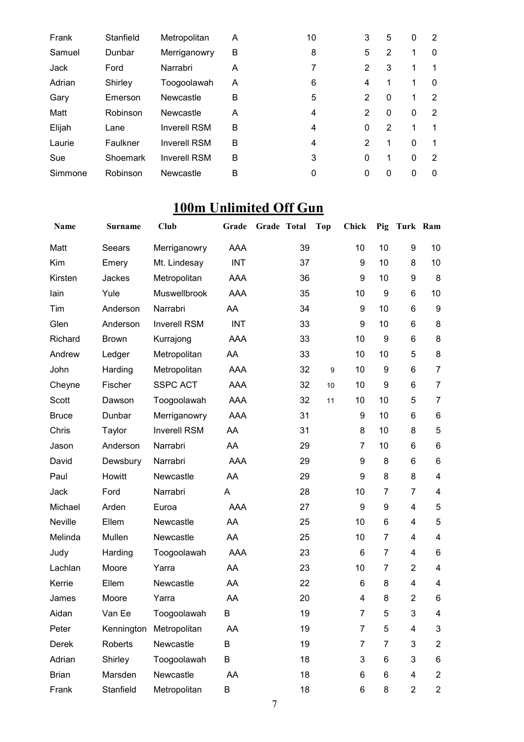| Frank   | Stanfield | Metropolitan        | A | 10 | 3        | 5 | 0            | 2        |
|---------|-----------|---------------------|---|----|----------|---|--------------|----------|
| Samuel  | Dunbar    | Merriganowry        | B | 8  | 5        | 2 | 1            | 0        |
| Jack    | Ford      | Narrabri            | A | 7  | 2        | 3 | 1            | 1        |
| Adrian  | Shirley   | Toogoolawah         | A | 6  | 4        |   | 1            | 0        |
| Gary    | Emerson   | Newcastle           | B | 5  | 2        | 0 | 1            | 2        |
| Matt    | Robinson  | Newcastle           | A | 4  | 2        | 0 | 0            | 2        |
| Elijah  | Lane      | <b>Inverell RSM</b> | B | 4  | $\Omega$ | 2 | 1            | 1        |
| Laurie  | Faulkner  | <b>Inverell RSM</b> | B | 4  | 2        | 1 | $\mathbf{0}$ | -1       |
| Sue     | Shoemark  | <b>Inverell RSM</b> | B | 3  | $\Omega$ | 1 | $\mathbf{0}$ | 2        |
| Simmone | Robinson  | Newcastle           | B | 0  |          | 0 | 0            | $\Omega$ |

## **100m Unlimited Off Gun**

| Name         | <b>Surname</b> | Club                | Grade      | Grade Total |    | <b>Top</b> | <b>Chick</b>     | Pig            | Turk Ram       |                         |
|--------------|----------------|---------------------|------------|-------------|----|------------|------------------|----------------|----------------|-------------------------|
| Matt         | Seears         | Merriganowry        | AAA        |             | 39 |            | 10               | 10             | 9              | 10                      |
| Kim          | Emery          | Mt. Lindesay        | <b>INT</b> |             | 37 |            | $\boldsymbol{9}$ | 10             | 8              | 10                      |
| Kirsten      | Jackes         | Metropolitan        | AAA        |             | 36 |            | 9                | 10             | 9              | 8                       |
| lain         | Yule           | Muswellbrook        | <b>AAA</b> |             | 35 |            | 10               | 9              | 6              | 10                      |
| Tim          | Anderson       | Narrabri            | AA         |             | 34 |            | 9                | 10             | 6              | 9                       |
| Glen         | Anderson       | <b>Inverell RSM</b> | <b>INT</b> |             | 33 |            | 9                | 10             | 6              | 8                       |
| Richard      | <b>Brown</b>   | Kurrajong           | AAA        |             | 33 |            | 10               | 9              | 6              | 8                       |
| Andrew       | Ledger         | Metropolitan        | AA         |             | 33 |            | 10               | 10             | 5              | 8                       |
| John         | Harding        | Metropolitan        | AAA        |             | 32 | 9          | 10               | 9              | 6              | $\overline{7}$          |
| Cheyne       | Fischer        | <b>SSPC ACT</b>     | AAA        |             | 32 | 10         | 10               | 9              | 6              | $\overline{7}$          |
| Scott        | Dawson         | Toogoolawah         | AAA        |             | 32 | 11         | 10               | 10             | 5              | $\overline{7}$          |
| <b>Bruce</b> | Dunbar         | Merriganowry        | <b>AAA</b> |             | 31 |            | 9                | 10             | 6              | 6                       |
| Chris        | Taylor         | <b>Inverell RSM</b> | AA         |             | 31 |            | 8                | 10             | 8              | 5                       |
| Jason        | Anderson       | Narrabri            | AA         |             | 29 |            | $\overline{7}$   | 10             | 6              | 6                       |
| David        | Dewsbury       | Narrabri            | <b>AAA</b> |             | 29 |            | 9                | 8              | 6              | 6                       |
| Paul         | Howitt         | Newcastle           | AA         |             | 29 |            | 9                | 8              | 8              | 4                       |
| Jack         | Ford           | Narrabri            | A          |             | 28 |            | 10               | 7              | 7              | 4                       |
| Michael      | Arden          | Euroa               | AAA        |             | 27 |            | $\boldsymbol{9}$ | 9              | $\overline{4}$ | 5                       |
| Neville      | Ellem          | Newcastle           | AA         |             | 25 |            | 10               | 6              | $\overline{4}$ | 5                       |
| Melinda      | Mullen         | Newcastle           | AA         |             | 25 |            | 10               | 7              | 4              | 4                       |
| Judy         | Harding        | Toogoolawah         | AAA        |             | 23 |            | 6                | $\overline{7}$ | 4              | 6                       |
| Lachlan      | Moore          | Yarra               | AA         |             | 23 |            | 10               | 7              | $\overline{2}$ | 4                       |
| Kerrie       | Ellem          | Newcastle           | AA         |             | 22 |            | 6                | 8              | $\overline{4}$ | 4                       |
| James        | Moore          | Yarra               | AA         |             | 20 |            | 4                | 8              | $\overline{2}$ | 6                       |
| Aidan        | Van Ee         | Toogoolawah         | B          |             | 19 |            | 7                | 5              | 3              | 4                       |
| Peter        | Kennington     | Metropolitan        | AA         |             | 19 |            | 7                | 5              | 4              | 3                       |
| Derek        | Roberts        | Newcastle           | B          |             | 19 |            | 7                | 7              | 3              | $\overline{c}$          |
| Adrian       | Shirley        | Toogoolawah         | B          |             | 18 |            | 3                | 6              | 3              | 6                       |
| <b>Brian</b> | Marsden        | Newcastle           | AA         |             | 18 |            | 6                | 6              | 4              | $\overline{\mathbf{c}}$ |
| Frank        | Stanfield      | Metropolitan        | В          |             | 18 |            | 6                | 8              | $\overline{2}$ | $\overline{c}$          |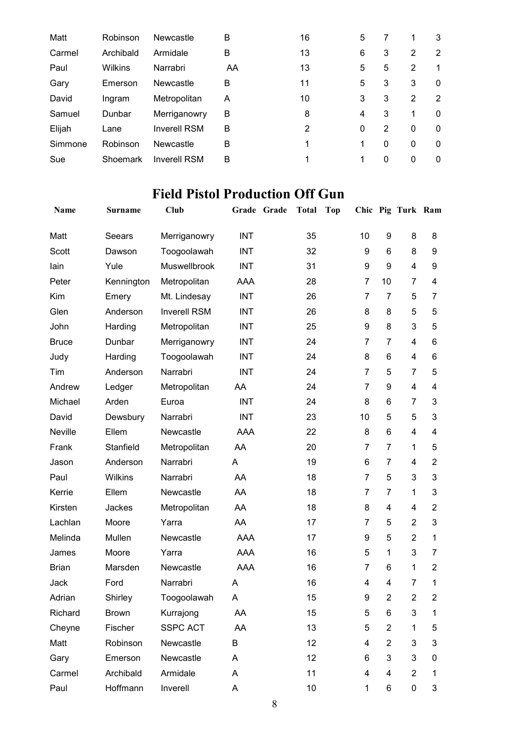| Robinson  | Newcastle           | в  | 16 | 5 |   |             | 3           |
|-----------|---------------------|----|----|---|---|-------------|-------------|
| Archibald | Armidale            | B  | 13 | 6 | 3 | 2           | 2           |
| Wilkins   | Narrabri            | AA | 13 | 5 | 5 | 2           | 1           |
| Emerson   | Newcastle           | B  | 11 | 5 | 3 | 3           | $\mathbf 0$ |
| Ingram    | Metropolitan        | A  | 10 | 3 | 3 | 2           | 2           |
| Dunbar    | Merriganowry        | B  | 8  | 4 | 3 | 1           | 0           |
| Lane      | <b>Inverell RSM</b> | B  | 2  | 0 | 2 | $\mathbf 0$ | $\mathbf 0$ |
| Robinson  | Newcastle           | B  | 1  | 1 | 0 | $\mathbf 0$ | $\mathbf 0$ |
| Shoemark  | <b>Inverell RSM</b> | B  |    |   | 0 | 0           | 0           |
|           |                     |    |    |   |   |             |             |

## **Field Pistol Production Off Gun**

| Name         | Surname      | <b>Club</b>         |            | Grade Grade | <b>Total</b> | <b>Top</b> |                |                | Chic Pig Turk Ram |                |
|--------------|--------------|---------------------|------------|-------------|--------------|------------|----------------|----------------|-------------------|----------------|
| Matt         | Seears       | Merriganowry        | <b>INT</b> |             | 35           |            | 10             | 9              | 8                 | 8              |
| Scott        | Dawson       | Toogoolawah         | <b>INT</b> |             | 32           |            | 9              | 6              | 8                 | 9              |
| lain         | Yule         | Muswellbrook        | <b>INT</b> |             | 31           |            | 9              | 9              | 4                 | 9              |
| Peter        | Kennington   | Metropolitan        | <b>AAA</b> |             | 28           |            | 7              | 10             | $\overline{7}$    | $\overline{4}$ |
| Kim          | Emery        | Mt. Lindesay        | <b>INT</b> |             | 26           |            | $\overline{7}$ | $\overline{7}$ | 5                 | $\overline{7}$ |
| Glen         | Anderson     | <b>Inverell RSM</b> | <b>INT</b> |             | 26           |            | 8              | 8              | 5                 | 5              |
| John         | Harding      | Metropolitan        | <b>INT</b> |             | 25           |            | 9              | 8              | 3                 | 5              |
| <b>Bruce</b> | Dunbar       | Merriganowry        | <b>INT</b> |             | 24           |            | 7              | $\overline{7}$ | $\overline{4}$    | 6              |
| Judy         | Harding      | Toogoolawah         | <b>INT</b> |             | 24           |            | 8              | 6              | 4                 | 6              |
| Tim          | Anderson     | Narrabri            | <b>INT</b> |             | 24           |            | 7              | 5              | 7                 | 5              |
| Andrew       | Ledger       | Metropolitan        | AA         |             | 24           |            | $\overline{7}$ | 9              | 4                 | $\overline{4}$ |
| Michael      | Arden        | Euroa               | <b>INT</b> |             | 24           |            | 8              | 6              | 7                 | 3              |
| David        | Dewsbury     | Narrabri            | <b>INT</b> |             | 23           |            | 10             | 5              | 5                 | 3              |
| Neville      | Ellem        | Newcastle           | <b>AAA</b> |             | 22           |            | 8              | 6              | 4                 | 4              |
| Frank        | Stanfield    | Metropolitan        | AA         |             | 20           |            | 7              | 7              | $\mathbf{1}$      | 5              |
| Jason        | Anderson     | Narrabri            | A          |             | 19           |            | 6              | 7              | 4                 | $\overline{2}$ |
| Paul         | Wilkins      | Narrabri            | AA         |             | 18           |            | 7              | 5              | 3                 | 3              |
| Kerrie       | Ellem        | Newcastle           | AA         |             | 18           |            | $\overline{7}$ | $\overline{7}$ | $\mathbf{1}$      | 3              |
| Kirsten      | Jackes       | Metropolitan        | AA         |             | 18           |            | 8              | 4              | 4                 | $\overline{2}$ |
| Lachlan      | Moore        | Yarra               | AA         |             | 17           |            | $\overline{7}$ | 5              | $\overline{2}$    | 3              |
| Melinda      | Mullen       | Newcastle           | <b>AAA</b> |             | 17           |            | 9              | 5              | $\overline{2}$    | $\mathbf{1}$   |
| James        | Moore        | Yarra               | <b>AAA</b> |             | 16           |            | 5              | 1              | 3                 | 7              |
| <b>Brian</b> | Marsden      | Newcastle           | <b>AAA</b> |             | 16           |            | 7              | 6              | 1                 | $\overline{2}$ |
| Jack         | Ford         | Narrabri            | A          |             | 16           |            | 4              | 4              | 7                 | 1              |
| Adrian       | Shirley      | Toogoolawah         | A          |             | 15           |            | 9              | $\overline{2}$ | 2                 | $\overline{2}$ |
| Richard      | <b>Brown</b> | Kurrajong           | AA         |             | 15           |            | 5              | 6              | 3                 | 1              |
| Cheyne       | Fischer      | <b>SSPC ACT</b>     | AA         |             | 13           |            | 5              | $\overline{2}$ | $\mathbf 1$       | 5              |
| Matt         | Robinson     | Newcastle           | В          |             | 12           |            | 4              | $\overline{2}$ | 3                 | 3              |
| Gary         | Emerson      | Newcastle           | A          |             | 12           |            | 6              | 3              | 3                 | 0              |
| Carmel       | Archibald    | Armidale            | A          |             | 11           |            | 4              | 4              | 2                 | 1              |
| Paul         | Hoffmann     | Inverell            | A          |             | 10           |            | $\mathbf{1}$   | 6              | 0                 | 3              |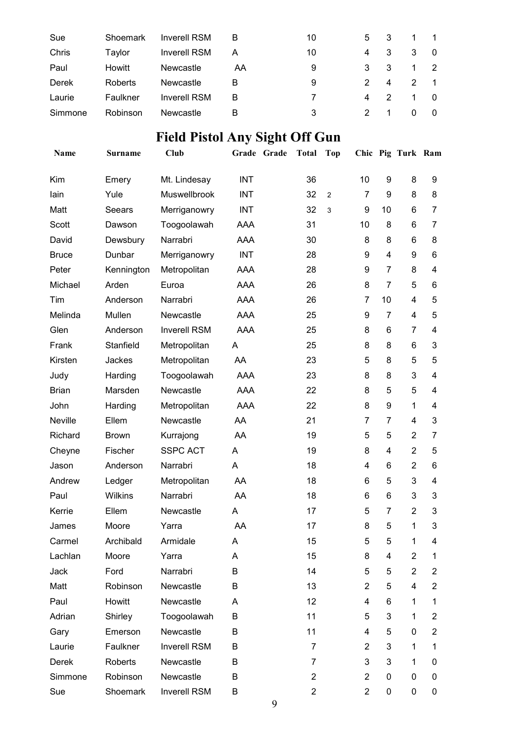| Sue     | Shoemark | <b>Inverell RSM</b> | В  | 10 | 5 | 3  |   | $\overline{1}$ |
|---------|----------|---------------------|----|----|---|----|---|----------------|
| Chris   | Taylor   | <b>Inverell RSM</b> | А  | 10 | 4 | 3  | 3 | - 0            |
| Paul    | Howitt   | Newcastle           | AA | 9  | 3 | -3 |   | - 2            |
| Derek   | Roberts  | Newcastle           | B  | 9  | 2 | 4  | 2 | $\blacksquare$ |
| Laurie  | Faulkner | <b>Inverell RSM</b> | В  |    | 4 | 2  |   | - 0            |
| Simmone | Robinson | Newcastle           | В  | 3  | 2 |    | 0 | $\overline{0}$ |

# **Field Pistol Any Sight Off Gun**

| Name         | Surname      | Club                |            | Grade Grade | <b>Total</b>   | <b>Top</b>     |                |                | Chic Pig Turk Ram |                          |
|--------------|--------------|---------------------|------------|-------------|----------------|----------------|----------------|----------------|-------------------|--------------------------|
| Kim          | Emery        | Mt. Lindesay        | <b>INT</b> |             | 36             |                | 10             | 9              | 8                 | 9                        |
| lain         | Yule         | Muswellbrook        | <b>INT</b> |             | 32             | $\overline{c}$ | $\overline{7}$ | 9              | 8                 | 8                        |
| Matt         | Seears       | Merriganowry        | <b>INT</b> |             | 32             | 3              | 9              | 10             | 6                 | 7                        |
| Scott        | Dawson       | Toogoolawah         | AAA        |             | 31             |                | 10             | 8              | 6                 | $\overline{7}$           |
| David        | Dewsbury     | Narrabri            | AAA        |             | 30             |                | 8              | 8              | 6                 | 8                        |
| <b>Bruce</b> | Dunbar       | Merriganowry        | <b>INT</b> |             | 28             |                | 9              | 4              | 9                 | 6                        |
| Peter        | Kennington   | Metropolitan        | AAA        |             | 28             |                | 9              | $\overline{7}$ | 8                 | $\overline{\mathbf{4}}$  |
| Michael      | Arden        | Euroa               | AAA        |             | 26             |                | 8              | $\overline{7}$ | 5                 | 6                        |
| Tim          | Anderson     | Narrabri            | AAA        |             | 26             |                | $\overline{7}$ | 10             | $\overline{4}$    | 5                        |
| Melinda      | Mullen       | Newcastle           | AAA        |             | 25             |                | 9              | $\overline{7}$ | 4                 | 5                        |
| Glen         | Anderson     | <b>Inverell RSM</b> | <b>AAA</b> |             | 25             |                | 8              | 6              | $\overline{7}$    | $\overline{\mathcal{A}}$ |
| Frank        | Stanfield    | Metropolitan        | A          |             | 25             |                | 8              | 8              | 6                 | 3                        |
| Kirsten      | Jackes       | Metropolitan        | AA         |             | 23             |                | 5              | 8              | 5                 | 5                        |
| Judy         | Harding      | Toogoolawah         | AAA        |             | 23             |                | 8              | 8              | 3                 | $\overline{\mathbf{4}}$  |
| <b>Brian</b> | Marsden      | Newcastle           | AAA        |             | 22             |                | 8              | 5              | 5                 | $\overline{4}$           |
| John         | Harding      | Metropolitan        | <b>AAA</b> |             | 22             |                | 8              | 9              | 1                 | $\overline{\mathbf{4}}$  |
| Neville      | Ellem        | Newcastle           | AA         |             | 21             |                | $\overline{7}$ | $\overline{7}$ | 4                 | 3                        |
| Richard      | <b>Brown</b> | Kurrajong           | AA         |             | 19             |                | 5              | 5              | $\overline{2}$    | $\overline{7}$           |
| Cheyne       | Fischer      | <b>SSPC ACT</b>     | A          |             | 19             |                | 8              | 4              | $\overline{2}$    | 5                        |
| Jason        | Anderson     | Narrabri            | A          |             | 18             |                | 4              | 6              | $\overline{2}$    | $\,6$                    |
| Andrew       | Ledger       | Metropolitan        | AA         |             | 18             |                | 6              | 5              | 3                 | $\overline{4}$           |
| Paul         | Wilkins      | Narrabri            | AA         |             | 18             |                | 6              | 6              | 3                 | 3                        |
| Kerrie       | Ellem        | Newcastle           | A          |             | 17             |                | 5              | $\overline{7}$ | $\overline{2}$    | 3                        |
| James        | Moore        | Yarra               | AA         |             | 17             |                | 8              | 5              | 1                 | 3                        |
| Carmel       | Archibald    | Armidale            | A          |             | 15             |                | 5              | 5              | 1                 | 4                        |
| Lachlan      | Moore        | Yarra               | A          |             | 15             |                | 8              | 4              | $\overline{2}$    | 1                        |
| Jack         | Ford         | Narrabri            | B          |             | 14             |                | 5              | 5              | $\overline{2}$    | $\overline{2}$           |
| Matt         | Robinson     | Newcastle           | B          |             | 13             |                | $\overline{2}$ | 5              | 4                 | $\overline{2}$           |
| Paul         | Howitt       | Newcastle           | A          |             | 12             |                | 4              | 6              | 1                 | 1                        |
| Adrian       | Shirley      | Toogoolawah         | B          |             | 11             |                | 5              | 3              | 1                 | $\overline{2}$           |
| Gary         | Emerson      | Newcastle           | B          |             | 11             |                | 4              | 5              | 0                 | $\overline{2}$           |
| Laurie       | Faulkner     | <b>Inverell RSM</b> | B          |             | 7              |                | $\overline{2}$ | 3              | 1                 | 1                        |
| Derek        | Roberts      | Newcastle           | B          |             | 7              |                | 3              | 3              | 1                 | 0                        |
| Simmone      | Robinson     | Newcastle           | B          |             | $\overline{2}$ |                | $\overline{2}$ | 0              | 0                 | 0                        |
| Sue          | Shoemark     | Inverell RSM        | Β          |             | $\overline{c}$ |                | $\overline{2}$ | 0              | $\mathbf 0$       | 0                        |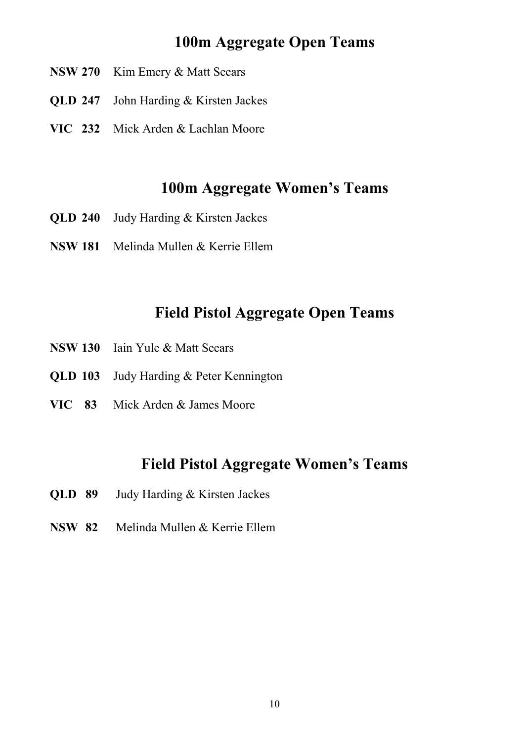#### **100m Aggregate Open Teams**

- **NSW 270** Kim Emery & Matt Seears
- **QLD 247** John Harding & Kirsten Jackes
- **VIC 232** Mick Arden & Lachlan Moore

#### **100m Aggregate Women's Teams**

- **QLD 240** Judy Harding & Kirsten Jackes
- **NSW 181** Melinda Mullen & Kerrie Ellem

#### **Field Pistol Aggregate Open Teams**

- **NSW 130** Iain Yule & Matt Seears
- **QLD 103** Judy Harding & Peter Kennington
- **VIC 83** Mick Arden & James Moore

#### **Field Pistol Aggregate Women's Teams**

- **QLD 89** Judy Harding & Kirsten Jackes
- **NSW 82** Melinda Mullen & Kerrie Ellem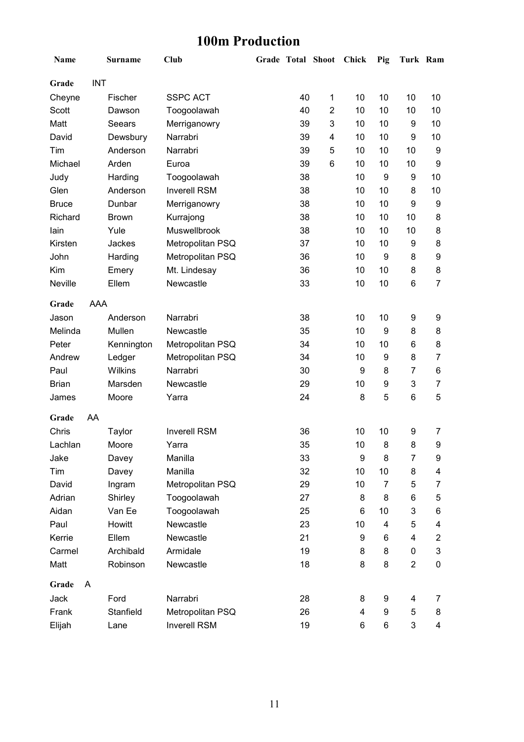## **100m Production**

| Name         |            | <b>Surname</b> | <b>Club</b>         |    | <b>Grade Total Shoot</b> | Chick | Pig            | Turk Ram       |                |
|--------------|------------|----------------|---------------------|----|--------------------------|-------|----------------|----------------|----------------|
| Grade        | <b>INT</b> |                |                     |    |                          |       |                |                |                |
| Cheyne       |            | Fischer        | <b>SSPC ACT</b>     | 40 | $\mathbf 1$              | 10    | 10             | 10             | 10             |
| Scott        |            | Dawson         | Toogoolawah         | 40 | $\overline{2}$           | 10    | 10             | 10             | 10             |
| Matt         |            | Seears         | Merriganowry        | 39 | 3                        | 10    | 10             | 9              | 10             |
| David        |            | Dewsbury       | Narrabri            | 39 | 4                        | 10    | 10             | 9              | 10             |
| Tim          |            | Anderson       | Narrabri            | 39 | 5                        | 10    | 10             | 10             | 9              |
| Michael      |            | Arden          | Euroa               | 39 | 6                        | 10    | 10             | 10             | 9              |
| Judy         |            | Harding        | Toogoolawah         | 38 |                          | 10    | 9              | 9              | 10             |
| Glen         |            | Anderson       | <b>Inverell RSM</b> | 38 |                          | 10    | 10             | 8              | 10             |
| <b>Bruce</b> |            | Dunbar         | Merriganowry        | 38 |                          | 10    | 10             | 9              | 9              |
| Richard      |            | <b>Brown</b>   | Kurrajong           | 38 |                          | 10    | 10             | 10             | 8              |
| lain         |            | Yule           | Muswellbrook        | 38 |                          | 10    | 10             | 10             | 8              |
| Kirsten      |            | <b>Jackes</b>  | Metropolitan PSQ    | 37 |                          | 10    | 10             | 9              | 8              |
| John         |            | Harding        | Metropolitan PSQ    | 36 |                          | 10    | 9              | 8              | 9              |
| Kim          |            | Emery          | Mt. Lindesay        | 36 |                          | 10    | 10             | 8              | 8              |
| Neville      |            | Ellem          | Newcastle           | 33 |                          | 10    | 10             | 6              | $\overline{7}$ |
| Grade        | <b>AAA</b> |                |                     |    |                          |       |                |                |                |
| Jason        |            | Anderson       | Narrabri            | 38 |                          | 10    | 10             | 9              | 9              |
| Melinda      |            | Mullen         | Newcastle           | 35 |                          | 10    | 9              | 8              | 8              |
| Peter        |            | Kennington     | Metropolitan PSQ    | 34 |                          | 10    | 10             | 6              | 8              |
| Andrew       |            | Ledger         | Metropolitan PSQ    | 34 |                          | 10    | 9              | 8              | $\overline{7}$ |
| Paul         |            | <b>Wilkins</b> | Narrabri            | 30 |                          | 9     | 8              | 7              | 6              |
| <b>Brian</b> |            | Marsden        | Newcastle           | 29 |                          | 10    | 9              | 3              | $\overline{7}$ |
| James        |            | Moore          | Yarra               | 24 |                          | 8     | 5              | 6              | 5              |
| Grade        | AA         |                |                     |    |                          |       |                |                |                |
| Chris        |            | Taylor         | <b>Inverell RSM</b> | 36 |                          | 10    | 10             | 9              | 7              |
| Lachlan      |            | Moore          | Yarra               | 35 |                          | 10    | 8              | 8              | 9              |
| Jake         |            | Davey          | Manilla             | 33 |                          | 9     | 8              | 7              | 9              |
| Tim          |            | Davey          | Manilla             | 32 |                          | 10    | 10             | 8              | 4              |
| David        |            | Ingram         | Metropolitan PSQ    | 29 |                          | 10    | $\overline{7}$ | 5              | $\overline{7}$ |
| Adrian       |            | Shirley        | Toogoolawah         | 27 |                          | 8     | 8              | 6              | 5              |
| Aidan        |            | Van Ee         | Toogoolawah         | 25 |                          | 6     | 10             | 3              | 6              |
| Paul         |            | Howitt         | Newcastle           | 23 |                          | 10    | 4              | 5              | 4              |
| Kerrie       |            | Ellem          | Newcastle           | 21 |                          | 9     | 6              | 4              | $\overline{2}$ |
| Carmel       |            | Archibald      | Armidale            | 19 |                          | 8     | 8              | 0              | 3              |
| Matt         |            | Robinson       | Newcastle           | 18 |                          | 8     | 8              | $\overline{c}$ | 0              |
| Grade        | A          |                |                     |    |                          |       |                |                |                |
| Jack         |            | Ford           | Narrabri            | 28 |                          | 8     | 9              | 4              | 7              |
| Frank        |            | Stanfield      | Metropolitan PSQ    | 26 |                          | 4     | 9              | 5              | 8              |
| Elijah       |            | Lane           | <b>Inverell RSM</b> | 19 |                          | 6     | 6              | 3              | 4              |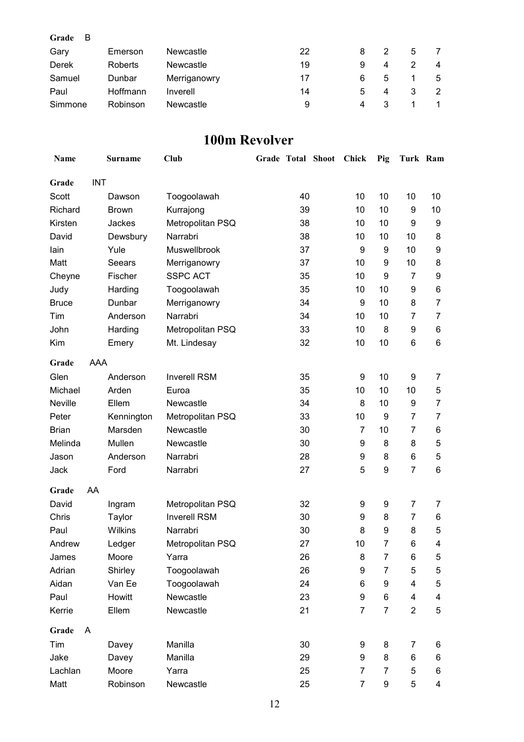| Grade<br>- B |          |              |    |   |   |   |   |
|--------------|----------|--------------|----|---|---|---|---|
| Gary         | Emerson  | Newcastle    | 22 | 8 | 2 | 5 |   |
| Derek        | Roberts  | Newcastle    | 19 | 9 | 4 |   | 4 |
| Samuel       | Dunbar   | Merriganowry | 17 | 6 | 5 |   | 5 |
| Paul         | Hoffmann | Inverell     | 14 | 5 | 4 |   | 2 |
| Simmone      | Robinson | Newcastle    | 9  | 4 | 3 |   |   |

#### **100m Revolver**

| Name         |            | <b>Surname</b> | Club                | <b>Grade Total Shoot</b> |    | Chick            | Pig            | Turk Ram       |                |
|--------------|------------|----------------|---------------------|--------------------------|----|------------------|----------------|----------------|----------------|
| Grade        | <b>INT</b> |                |                     |                          |    |                  |                |                |                |
| Scott        |            | Dawson         | Toogoolawah         |                          | 40 | 10               | 10             | 10             | 10             |
| Richard      |            | <b>Brown</b>   | Kurrajong           |                          | 39 | 10               | 10             | 9              | 10             |
| Kirsten      |            | Jackes         | Metropolitan PSQ    |                          | 38 | 10               | 10             | 9              | 9              |
| David        |            | Dewsbury       | Narrabri            |                          | 38 | 10               | 10             | 10             | 8              |
| lain         |            | Yule           | <b>Muswellbrook</b> |                          | 37 | $\boldsymbol{9}$ | 9              | 10             | 9              |
| Matt         |            | Seears         | Merriganowry        |                          | 37 | 10               | 9              | 10             | 8              |
| Cheyne       |            | Fischer        | <b>SSPC ACT</b>     |                          | 35 | 10               | 9              | 7              | 9              |
| Judy         |            | Harding        | Toogoolawah         |                          | 35 | 10               | 10             | 9              | 6              |
| <b>Bruce</b> |            | Dunbar         | Merriganowry        |                          | 34 | 9                | 10             | 8              | $\overline{7}$ |
| Tim          |            | Anderson       | Narrabri            |                          | 34 | 10               | 10             | $\overline{7}$ | $\overline{7}$ |
| John         |            | Harding        | Metropolitan PSQ    |                          | 33 | 10               | 8              | 9              | 6              |
| Kim          |            | Emery          | Mt. Lindesay        |                          | 32 | 10               | 10             | 6              | 6              |
| Grade        | <b>AAA</b> |                |                     |                          |    |                  |                |                |                |
| Glen         |            | Anderson       | <b>Inverell RSM</b> |                          | 35 | 9                | 10             | 9              | $\overline{7}$ |
| Michael      |            | Arden          | Euroa               |                          | 35 | 10               | 10             | 10             | 5              |
| Neville      |            | Ellem          | Newcastle           |                          | 34 | 8                | 10             | 9              | $\overline{7}$ |
| Peter        |            | Kennington     | Metropolitan PSQ    |                          | 33 | 10               | 9              | $\overline{7}$ | $\overline{7}$ |
| <b>Brian</b> |            | Marsden        | Newcastle           |                          | 30 | $\overline{7}$   | 10             | $\overline{7}$ | 6              |
| Melinda      |            | Mullen         | Newcastle           |                          | 30 | 9                | 8              | 8              | $\mathbf 5$    |
| Jason        |            | Anderson       | Narrabri            |                          | 28 | 9                | 8              | 6              | 5              |
| Jack         |            | Ford           | Narrabri            |                          | 27 | 5                | 9              | $\overline{7}$ | $\,6$          |
| Grade        | AA         |                |                     |                          |    |                  |                |                |                |
| David        |            | Ingram         | Metropolitan PSQ    |                          | 32 | 9                | 9              | $\overline{7}$ | 7              |
| Chris        |            | Taylor         | <b>Inverell RSM</b> |                          | 30 | 9                | 8              | $\overline{7}$ | 6              |
| Paul         |            | Wilkins        | Narrabri            |                          | 30 | 8                | 9              | 8              | 5              |
| Andrew       |            | Ledger         | Metropolitan PSQ    |                          | 27 | 10               | 7              | 6              | 4              |
| James        |            | Moore          | Yarra               |                          | 26 | 8                | $\overline{7}$ | 6              | 5              |
| Adrian       |            | Shirley        | Toogoolawah         |                          | 26 | 9                | $\overline{7}$ | 5              | $\mathbf 5$    |
| Aidan        |            | Van Ee         | Toogoolawah         |                          | 24 | 6                | 9              | 4              | 5              |
| Paul         |            | Howitt         | Newcastle           |                          | 23 | 9                | 6              | 4              | 4              |
| Kerrie       |            | Ellem          | Newcastle           |                          | 21 | $\overline{7}$   | $\overline{7}$ | $\overline{2}$ | 5              |
| Grade        | A          |                |                     |                          |    |                  |                |                |                |
| Tim          |            | Davey          | Manilla             |                          | 30 | 9                | 8              | $\overline{7}$ | 6              |
| Jake         |            | Davey          | Manilla             |                          | 29 | 9                | 8              | 6              | 6              |
| Lachlan      |            | Moore          | Yarra               |                          | 25 | $\overline{7}$   | 7              | 5              | 6              |
| Matt         |            | Robinson       | Newcastle           |                          | 25 | $\overline{7}$   | 9              | 5              | 4              |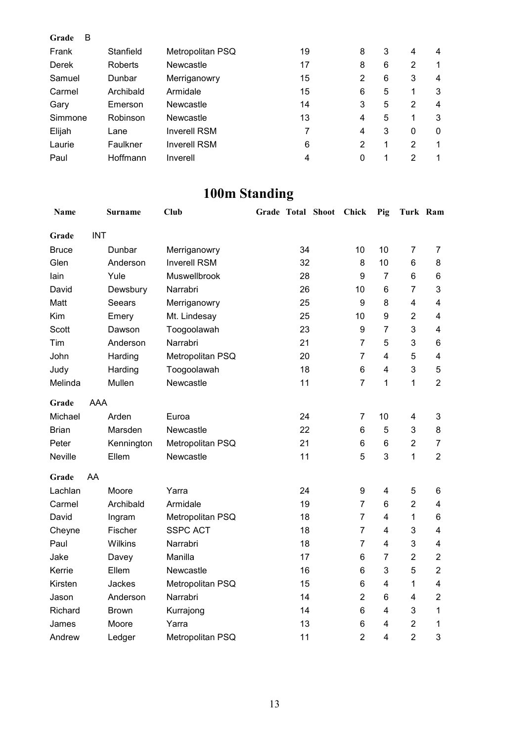| B<br>Grade |           |                     |    |   |   |   |             |
|------------|-----------|---------------------|----|---|---|---|-------------|
| Frank      | Stanfield | Metropolitan PSQ    | 19 | 8 | 3 | 4 | 4           |
| Derek      | Roberts   | <b>Newcastle</b>    | 17 | 8 | 6 | 2 | 1           |
| Samuel     | Dunbar    | Merriganowry        | 15 | 2 | 6 | 3 | 4           |
| Carmel     | Archibald | Armidale            | 15 | 6 | 5 | 1 | 3           |
| Gary       | Emerson   | Newcastle           | 14 | 3 | 5 | 2 | 4           |
| Simmone    | Robinson  | Newcastle           | 13 | 4 | 5 | 1 | 3           |
| Elijah     | Lane      | <b>Inverell RSM</b> | 7  | 4 | 3 | 0 | 0           |
| Laurie     | Faulkner  | <b>Inverell RSM</b> | 6  | 2 |   | 2 | 1           |
| Paul       | Hoffmann  | Inverell            | 4  | 0 |   | 2 | $\mathbf 1$ |

# **100m Standing**

| Name         |            | Surname        | Club                | <b>Grade Total Shoot</b> |    | Chick          | Pig                     | Turk Ram       |                         |
|--------------|------------|----------------|---------------------|--------------------------|----|----------------|-------------------------|----------------|-------------------------|
| Grade        | <b>INT</b> |                |                     |                          |    |                |                         |                |                         |
| <b>Bruce</b> |            | Dunbar         | Merriganowry        |                          | 34 | 10             | 10                      | $\overline{7}$ | 7                       |
| Glen         |            | Anderson       | <b>Inverell RSM</b> |                          | 32 | 8              | 10                      | 6              | 8                       |
| lain         |            | Yule           | Muswellbrook        |                          | 28 | 9              | $\overline{7}$          | 6              | 6                       |
| David        |            | Dewsbury       | Narrabri            |                          | 26 | 10             | 6                       | $\overline{7}$ | 3                       |
| Matt         |            | Seears         | Merriganowry        |                          | 25 | 9              | 8                       | $\overline{4}$ | $\overline{4}$          |
| Kim          |            | Emery          | Mt. Lindesay        |                          | 25 | 10             | 9                       | $\overline{2}$ | $\overline{\mathbf{4}}$ |
| Scott        |            | Dawson         | Toogoolawah         |                          | 23 | 9              | $\overline{7}$          | 3              | $\overline{4}$          |
| Tim          |            | Anderson       | Narrabri            |                          | 21 | $\overline{7}$ | 5                       | 3              | 6                       |
| John         |            | Harding        | Metropolitan PSQ    |                          | 20 | $\overline{7}$ | 4                       | 5              | 4                       |
| Judy         |            | Harding        | Toogoolawah         |                          | 18 | 6              | 4                       | 3              | 5                       |
| Melinda      |            | Mullen         | Newcastle           |                          | 11 | $\overline{7}$ | 1                       | 1              | $\overline{2}$          |
| Grade        | <b>AAA</b> |                |                     |                          |    |                |                         |                |                         |
| Michael      |            | Arden          | Euroa               |                          | 24 | $\overline{7}$ | 10                      | 4              | 3                       |
| <b>Brian</b> |            | Marsden        | Newcastle           |                          | 22 | 6              | 5                       | 3              | 8                       |
| Peter        |            | Kennington     | Metropolitan PSQ    |                          | 21 | 6              | 6                       | $\overline{2}$ | $\overline{7}$          |
| Neville      |            | Ellem          | Newcastle           |                          | 11 | 5              | 3                       | 1              | $\overline{2}$          |
| Grade        | AA         |                |                     |                          |    |                |                         |                |                         |
| Lachlan      |            | Moore          | Yarra               |                          | 24 | 9              | 4                       | 5              | 6                       |
| Carmel       |            | Archibald      | Armidale            |                          | 19 | 7              | 6                       | $\overline{2}$ | $\overline{\mathbf{4}}$ |
| David        |            | Ingram         | Metropolitan PSQ    |                          | 18 | $\overline{7}$ | 4                       | 1              | 6                       |
| Cheyne       |            | Fischer        | <b>SSPC ACT</b>     |                          | 18 | $\overline{7}$ | $\overline{4}$          | 3              | $\overline{\mathbf{4}}$ |
| Paul         |            | <b>Wilkins</b> | Narrabri            |                          | 18 | $\overline{7}$ | 4                       | 3              | $\overline{\mathbf{4}}$ |
| Jake         |            | Davey          | Manilla             |                          | 17 | 6              | $\overline{7}$          | $\overline{2}$ | $\overline{2}$          |
| Kerrie       |            | Ellem          | Newcastle           |                          | 16 | 6              | 3                       | 5              | $\overline{2}$          |
| Kirsten      |            | Jackes         | Metropolitan PSQ    |                          | 15 | 6              | $\overline{\mathbf{4}}$ | 1              | $\overline{\mathbf{4}}$ |
| Jason        |            | Anderson       | Narrabri            |                          | 14 | $\overline{2}$ | 6                       | 4              | $\overline{2}$          |
| Richard      |            | <b>Brown</b>   | Kurrajong           |                          | 14 | 6              | $\overline{4}$          | 3              | $\mathbf{1}$            |
| James        |            | Moore          | Yarra               |                          | 13 | 6              | $\overline{4}$          | $\overline{2}$ | 1                       |
| Andrew       |            | Ledger         | Metropolitan PSQ    |                          | 11 | $\overline{2}$ | $\overline{4}$          | $\overline{2}$ | 3                       |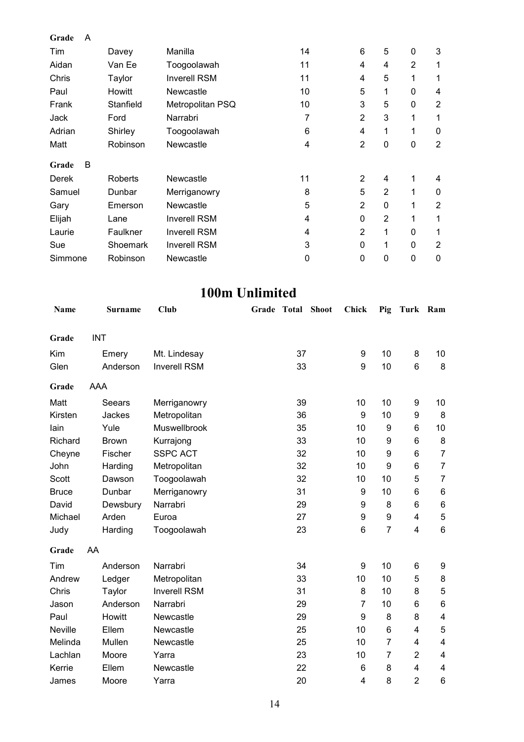| Grade<br>A |                |                     |    |                |                |                |                |
|------------|----------------|---------------------|----|----------------|----------------|----------------|----------------|
| Tim        | Davey          | Manilla             | 14 | 6              | 5              | 0              | 3              |
| Aidan      | Van Ee         | Toogoolawah         | 11 | 4              | 4              | $\overline{2}$ | 1              |
| Chris      | Taylor         | <b>Inverell RSM</b> | 11 | 4              | 5              | 1              | 1              |
| Paul       | Howitt         | Newcastle           | 10 | 5              | 1              | 0              | 4              |
| Frank      | Stanfield      | Metropolitan PSQ    | 10 | 3              | 5              | 0              | $\overline{2}$ |
| Jack       | Ford           | Narrabri            | 7  | $\overline{2}$ | 3              | 1              | 1              |
| Adrian     | Shirley        | Toogoolawah         | 6  | 4              | 1              | $\mathbf 1$    | 0              |
| Matt       | Robinson       | Newcastle           | 4  | $\overline{2}$ | 0              | 0              | $\overline{2}$ |
| B<br>Grade |                |                     |    |                |                |                |                |
| Derek      | <b>Roberts</b> | Newcastle           | 11 | $\overline{2}$ | $\overline{4}$ | 1              | 4              |
| Samuel     | Dunbar         | Merriganowry        | 8  | 5              | $\overline{2}$ | 1              | 0              |
| Gary       | Emerson        | Newcastle           | 5  | $\overline{2}$ | 0              | $\mathbf{1}$   | $\overline{2}$ |
| Elijah     | Lane           | <b>Inverell RSM</b> | 4  | $\mathbf{0}$   | $\overline{2}$ | 1              | 1              |
| Laurie     | Faulkner       | <b>Inverell RSM</b> | 4  | $\overline{2}$ | 1              | $\mathbf{0}$   | 1              |
| Sue        | Shoemark       | <b>Inverell RSM</b> | 3  | $\mathbf{0}$   | 1              | $\mathbf{0}$   | $\overline{2}$ |
| Simmone    | Robinson       | Newcastle           | 0  | 0              | 0              | 0              | $\mathbf 0$    |

## **100m Unlimited**

| <b>Name</b>  | <b>Surname</b> | Club                | Grade | <b>Total</b> | <b>Shoot</b> | <b>Chick</b>   | Pig              | <b>Turk</b>     | Ram                     |
|--------------|----------------|---------------------|-------|--------------|--------------|----------------|------------------|-----------------|-------------------------|
| Grade        | <b>INT</b>     |                     |       |              |              |                |                  |                 |                         |
| Kim          | Emery          | Mt. Lindesay        |       | 37           |              | 9              | 10               | 8               | 10                      |
| Glen         | Anderson       | <b>Inverell RSM</b> |       | 33           |              | 9              | 10               | $6\phantom{1}6$ | 8                       |
| Grade        | AAA            |                     |       |              |              |                |                  |                 |                         |
| Matt         | Seears         | Merriganowry        |       | 39           |              | 10             | 10               | 9               | 10                      |
| Kirsten      | Jackes         | Metropolitan        |       | 36           |              | 9              | 10               | 9               | $\bf 8$                 |
| lain         | Yule           | Muswellbrook        |       | 35           |              | 10             | 9                | 6               | 10                      |
| Richard      | <b>Brown</b>   | Kurrajong           |       | 33           |              | 10             | 9                | 6               | 8                       |
| Cheyne       | Fischer        | <b>SSPC ACT</b>     |       | 32           |              | 10             | 9                | 6               | $\overline{7}$          |
| John         | Harding        | Metropolitan        |       | 32           |              | 10             | $\boldsymbol{9}$ | 6               | $\overline{7}$          |
| Scott        | Dawson         | Toogoolawah         |       | 32           |              | 10             | 10               | 5               | $\overline{7}$          |
| <b>Bruce</b> | Dunbar         | Merriganowry        |       | 31           |              | 9              | 10               | 6               | $\,6$                   |
| David        | Dewsbury       | Narrabri            |       | 29           |              | 9              | 8                | 6               | $\,6\,$                 |
| Michael      | Arden          | Euroa               |       | 27           |              | 9              | 9                | 4               | $\sqrt{5}$              |
| Judy         | Harding        | Toogoolawah         |       | 23           |              | 6              | $\overline{7}$   | $\overline{4}$  | $\,6$                   |
| Grade        | AA             |                     |       |              |              |                |                  |                 |                         |
| Tim          | Anderson       | Narrabri            |       | 34           |              | 9              | 10               | 6               | 9                       |
| Andrew       | Ledger         | Metropolitan        |       | 33           |              | 10             | 10               | 5               | 8                       |
| Chris        | Taylor         | <b>Inverell RSM</b> |       | 31           |              | 8              | 10               | 8               | 5                       |
| Jason        | Anderson       | Narrabri            |       | 29           |              | 7              | 10               | 6               | $\,6$                   |
| Paul         | Howitt         | Newcastle           |       | 29           |              | 9              | 8                | 8               | $\overline{\mathbf{4}}$ |
| Neville      | Ellem          | Newcastle           |       | 25           |              | 10             | 6                | 4               | $\mathbf 5$             |
| Melinda      | Mullen         | Newcastle           |       | 25           |              | 10             | $\overline{7}$   | 4               | 4                       |
| Lachlan      | Moore          | Yarra               |       | 23           |              | 10             | $\overline{7}$   | $\overline{2}$  | $\overline{\mathbf{4}}$ |
| Kerrie       | Ellem          | Newcastle           |       | 22           |              | 6              | 8                | 4               | 4                       |
| James        | Moore          | Yarra               |       | 20           |              | $\overline{4}$ | 8                | $\overline{2}$  | 6                       |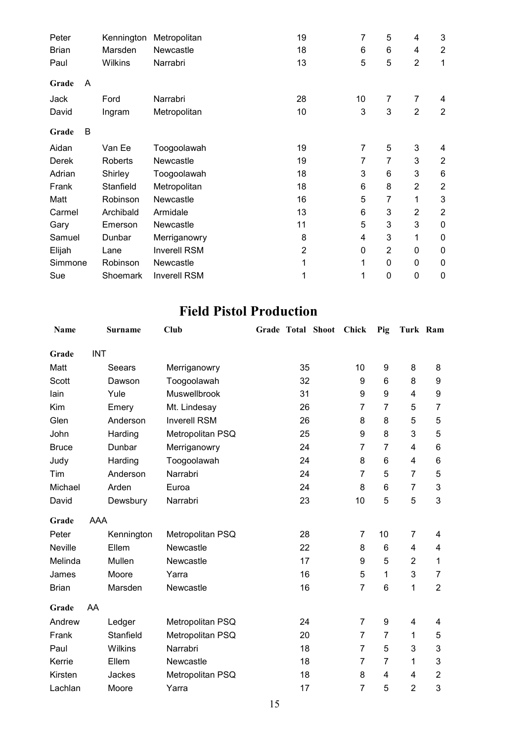| Peter   |   | Kennington | Metropolitan        | 19             | 7  | 5              | 4              | 3              |
|---------|---|------------|---------------------|----------------|----|----------------|----------------|----------------|
| Brian   |   | Marsden    | <b>Newcastle</b>    | 18             | 6  | 6              | 4              | $\overline{2}$ |
| Paul    |   | Wilkins    | Narrabri            | 13             | 5  | 5              | $\overline{2}$ | 1              |
| Grade   | A |            |                     |                |    |                |                |                |
| Jack    |   | Ford       | Narrabri            | 28             | 10 | 7              | 7              | 4              |
| David   |   | Ingram     | Metropolitan        | 10             | 3  | 3              | $\overline{2}$ | $\overline{2}$ |
| Grade   | B |            |                     |                |    |                |                |                |
| Aidan   |   | Van Ee     | Toogoolawah         | 19             | 7  | 5              | 3              | 4              |
| Derek   |   | Roberts    | Newcastle           | 19             | 7  | 7              | 3              | $\overline{2}$ |
| Adrian  |   | Shirley    | Toogoolawah         | 18             | 3  | 6              | 3              | 6              |
| Frank   |   | Stanfield  | Metropolitan        | 18             | 6  | 8              | $\overline{2}$ | $\overline{2}$ |
| Matt    |   | Robinson   | Newcastle           | 16             | 5  | 7              | 1              | 3              |
| Carmel  |   | Archibald  | Armidale            | 13             | 6  | 3              | $\overline{2}$ | $\overline{2}$ |
| Gary    |   | Emerson    | <b>Newcastle</b>    | 11             | 5  | 3              | 3              | 0              |
| Samuel  |   | Dunbar     | Merriganowry        | 8              | 4  | 3              | 1              | 0              |
| Elijah  |   | Lane       | <b>Inverell RSM</b> | $\overline{2}$ | 0  | $\overline{2}$ | 0              | $\mathbf 0$    |
| Simmone |   | Robinson   | Newcastle           |                | 1  | 0              | 0              | 0              |
| Sue     |   | Shoemark   | <b>Inverell RSM</b> |                | 1  | 0              | 0              | $\mathbf 0$    |

## **Field Pistol Production**

| Name           |            | <b>Surname</b> | Club                | Grade Total Shoot |    | Chick          | Pig            | Turk Ram                |                  |
|----------------|------------|----------------|---------------------|-------------------|----|----------------|----------------|-------------------------|------------------|
| Grade          | <b>INT</b> |                |                     |                   |    |                |                |                         |                  |
| Matt           |            | Seears         | Merriganowry        |                   | 35 | 10             | 9              | 8                       | 8                |
| Scott          |            | Dawson         | Toogoolawah         |                   | 32 | 9              | 6              | 8                       | $\boldsymbol{9}$ |
| lain           |            | Yule           | Muswellbrook        |                   | 31 | 9              | 9              | $\overline{\mathbf{4}}$ | 9                |
| Kim            |            | Emery          | Mt. Lindesay        |                   | 26 | $\overline{7}$ | $\overline{7}$ | 5                       | $\overline{7}$   |
| Glen           |            | Anderson       | <b>Inverell RSM</b> |                   | 26 | 8              | 8              | 5                       | 5                |
| John           |            | Harding        | Metropolitan PSQ    |                   | 25 | 9              | 8              | 3                       | 5                |
| <b>Bruce</b>   |            | Dunbar         | Merriganowry        |                   | 24 | 7              | 7              | 4                       | 6                |
| Judy           |            | Harding        | Toogoolawah         |                   | 24 | 8              | 6              | 4                       | 6                |
| Tim            |            | Anderson       | Narrabri            |                   | 24 | $\overline{7}$ | 5              | $\overline{7}$          | 5                |
| Michael        |            | Arden          | Euroa               |                   | 24 | 8              | 6              | 7                       | 3                |
| David          |            | Dewsbury       | Narrabri            |                   | 23 | 10             | 5              | 5                       | 3                |
| Grade          | <b>AAA</b> |                |                     |                   |    |                |                |                         |                  |
| Peter          |            | Kennington     | Metropolitan PSQ    |                   | 28 | 7              | 10             | $\overline{7}$          | 4                |
| <b>Neville</b> |            | Ellem          | Newcastle           |                   | 22 | 8              | 6              | 4                       | 4                |
| Melinda        |            | Mullen         | Newcastle           |                   | 17 | 9              | 5              | 2                       | 1                |
| James          |            | Moore          | Yarra               |                   | 16 | 5              | 1              | 3                       | $\overline{7}$   |
| <b>Brian</b>   |            | Marsden        | Newcastle           |                   | 16 | $\overline{7}$ | 6              | 1                       | $\overline{2}$   |
| Grade          | AA         |                |                     |                   |    |                |                |                         |                  |
| Andrew         |            | Ledger         | Metropolitan PSQ    |                   | 24 | 7              | 9              | 4                       | 4                |
| Frank          |            | Stanfield      | Metropolitan PSQ    |                   | 20 | 7              | 7              | 1                       | 5                |
| Paul           |            | <b>Wilkins</b> | Narrabri            |                   | 18 | $\overline{7}$ | 5              | 3                       | 3                |
| Kerrie         |            | Ellem          | Newcastle           |                   | 18 | 7              | 7              | 1                       | 3                |
| Kirsten        |            | Jackes         | Metropolitan PSQ    |                   | 18 | 8              | 4              | 4                       | $\overline{2}$   |
| Lachlan        |            | Moore          | Yarra               |                   | 17 | $\overline{7}$ | 5              | $\overline{2}$          | 3                |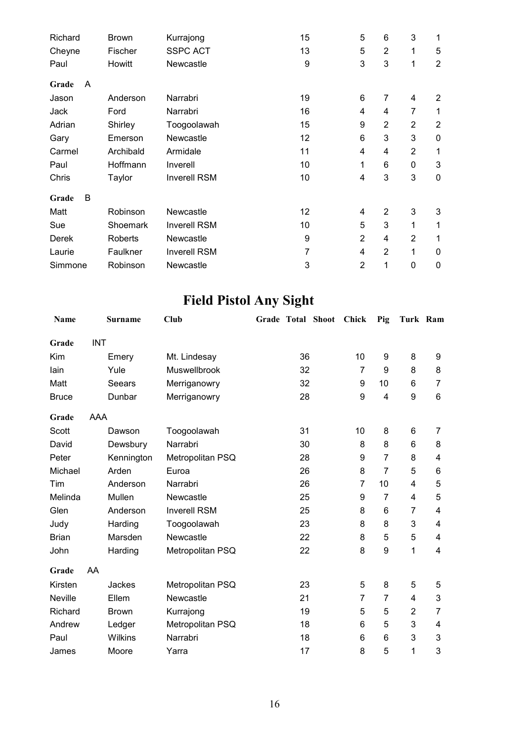| Richard |   | <b>Brown</b>   | Kurrajong           | 15 | 5              | 6              | 3              | 1              |
|---------|---|----------------|---------------------|----|----------------|----------------|----------------|----------------|
| Cheyne  |   | Fischer        | <b>SSPC ACT</b>     | 13 | 5              | $\overline{2}$ | 1              | 5              |
| Paul    |   | Howitt         | Newcastle           | 9  | 3              | 3              | 1              | $\overline{2}$ |
| Grade   | A |                |                     |    |                |                |                |                |
| Jason   |   | Anderson       | Narrabri            | 19 | 6              | 7              | 4              | $\overline{2}$ |
| Jack    |   | Ford           | Narrabri            | 16 | 4              | 4              | 7              | 1              |
| Adrian  |   | Shirley        | Toogoolawah         | 15 | 9              | $\overline{2}$ | $\overline{2}$ | $\overline{2}$ |
| Gary    |   | Emerson        | Newcastle           | 12 | 6              | 3              | 3              | 0              |
| Carmel  |   | Archibald      | Armidale            | 11 | 4              | 4              | $\overline{2}$ | 1              |
| Paul    |   | Hoffmann       | Inverell            | 10 | 1              | 6              | 0              | 3              |
| Chris   |   | Taylor         | <b>Inverell RSM</b> | 10 | 4              | 3              | 3              | $\mathbf 0$    |
| Grade   | В |                |                     |    |                |                |                |                |
| Matt    |   | Robinson       | Newcastle           | 12 | 4              | $\overline{2}$ | 3              | 3              |
| Sue     |   | Shoemark       | <b>Inverell RSM</b> | 10 | 5              | 3              | 1              | 1              |
| Derek   |   | <b>Roberts</b> | Newcastle           | 9  | $\overline{2}$ | 4              | $\overline{2}$ | 1              |
| Laurie  |   | Faulkner       | <b>Inverell RSM</b> | 7  | 4              | $\overline{2}$ | 1              | $\mathbf{0}$   |
| Simmone |   | Robinson       | Newcastle           | 3  | $\overline{2}$ | 1              | $\mathbf 0$    | 0              |

# **Field Pistol Any Sight**

| Name           |            | <b>Surname</b> | Club                | Grade Total Shoot | Chick          | Pig            | Turk Ram       |                |
|----------------|------------|----------------|---------------------|-------------------|----------------|----------------|----------------|----------------|
| Grade          | <b>INT</b> |                |                     |                   |                |                |                |                |
| Kim            |            | Emery          | Mt. Lindesay        | 36                | 10             | 9              | 8              | 9              |
| lain           |            | Yule           | Muswellbrook        | 32                | 7              | 9              | 8              | 8              |
| Matt           |            | Seears         | Merriganowry        | 32                | 9              | 10             | 6              | $\overline{7}$ |
| <b>Bruce</b>   |            | Dunbar         | Merriganowry        | 28                | 9              | 4              | 9              | $\,6$          |
| Grade          | AAA        |                |                     |                   |                |                |                |                |
| Scott          |            | Dawson         | Toogoolawah         | 31                | 10             | 8              | 6              | 7              |
| David          |            | Dewsbury       | Narrabri            | 30                | 8              | 8              | 6              | 8              |
| Peter          |            | Kennington     | Metropolitan PSQ    | 28                | 9              | 7              | 8              | 4              |
| Michael        |            | Arden          | Euroa               | 26                | 8              | $\overline{7}$ | 5              | 6              |
| Tim            |            | Anderson       | Narrabri            | 26                | 7              | 10             | 4              | 5              |
| Melinda        |            | Mullen         | Newcastle           | 25                | 9              | $\overline{7}$ | 4              | 5              |
| Glen           |            | Anderson       | <b>Inverell RSM</b> | 25                | 8              | 6              | 7              | 4              |
| Judy           |            | Harding        | Toogoolawah         | 23                | 8              | 8              | 3              | 4              |
| <b>Brian</b>   |            | Marsden        | Newcastle           | 22                | 8              | 5              | 5              | 4              |
| John           |            | Harding        | Metropolitan PSQ    | 22                | 8              | 9              | 1              | 4              |
| Grade          | AA         |                |                     |                   |                |                |                |                |
| Kirsten        |            | Jackes         | Metropolitan PSQ    | 23                | 5              | 8              | 5              | 5              |
| <b>Neville</b> |            | Ellem          | Newcastle           | 21                | $\overline{7}$ | $\overline{7}$ | $\overline{4}$ | 3              |
| Richard        |            | <b>Brown</b>   | Kurrajong           | 19                | 5              | 5              | $\overline{2}$ | $\overline{7}$ |
| Andrew         |            | Ledger         | Metropolitan PSQ    | 18                | 6              | 5              | 3              | 4              |
| Paul           |            | Wilkins        | Narrabri            | 18                | 6              | 6              | 3              | 3              |
| James          |            | Moore          | Yarra               | 17                | 8              | 5              | 1              | 3              |